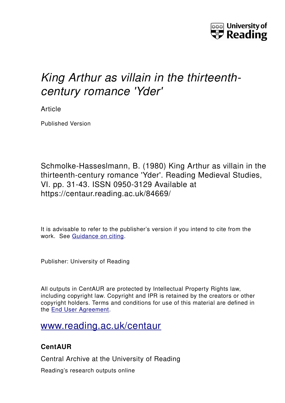

# *King Arthur as villain in the thirteenthcentury romance 'Yder'*

Article

Published Version

Schmolke-Hasseslmann, B. (1980) King Arthur as villain in the thirteenth-century romance 'Yder'. Reading Medieval Studies, VI. pp. 31-43. ISSN 0950-3129 Available at https://centaur.reading.ac.uk/84669/

It is advisable to refer to the publisher's version if you intend to cite from the work. See [Guidance on citing.](http://centaur.reading.ac.uk/71187/10/CentAUR%20citing%20guide.pdf)

Publisher: University of Reading

All outputs in CentAUR are protected by Intellectual Property Rights law, including copyright law. Copyright and IPR is retained by the creators or other copyright holders. Terms and conditions for use of this material are defined in the [End User Agreement.](http://centaur.reading.ac.uk/licence)

## [www.reading.ac.uk/centaur](http://www.reading.ac.uk/centaur)

### **CentAUR**

Central Archive at the University of Reading

Reading's research outputs online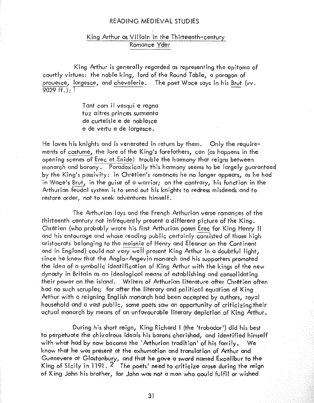#### King Arthur as Villain in the Thirteenth-century Romance Yder

King Arthur is generally regarded as representing the epitome of courtly virtues: the noble king, lord of the Round Table, a paragon of prouesce, largesce, and chevalerie. The poet Wace says in his Brut (vy.  $9029 \text{ ff.}$ . T

> Tant com il vesqui e regna tuz altres princes surmenta de curteisie e de noblesce e de vertu e de largesce.

He loves his knights and is venerated in return by them. Only the requirements of costume, the lore of the King's forefathers, can (as happens in the opening scenes of Erec et Enide) trouble the harmony that reians between monarch and barony. Paradoxically this harmony seems to be largely guaranteed by the King's passivity; in Chrétien's romances he no longer appears, as he had in Wace's Brut, in the quise of a warrior; on the contrary, his function in the Arthurian feudal system is to send out his knights to redress misdeeds and to restore order, not to seek adventures himself.

The Arthurian lays and the French Arthurian verse romances of the thirteenth century not infrequently present a different picture of the Kina. Chretien (who probably wrote his first Arthurian poem Erec for King Henry II and his entourage and whose reading public certainly consisted of those high aristocrats belonging to the maisnie of Henry and Eleanor on the Continent and in England) could not very well present King Arthur in a doubtful light, since he knew that the Anglo-Angevin monarch and his supporters promoted the idea of a symbolic identification of King Arthur with the kings of the new dynasty in Britain as an ideological means of establishing and consolidating their power on the island. Writers of Arthurian literature after Chrétien often had no such scruples; for after the literary and political equation of King Arthur with a reigning English monarch had been accepted by authors, royal household and a vast public, some poets saw an opportunity of criticizing their actual monarch by means of an unfavourable literary depiction of King Arthur.

During his short reign, King Richard I (the 'trobador') did his best to perpetuate the chivalrous ideals his barons cherished, and identified himself with what had by now become the 'Arthurian tradition' of his family. We know that he was present at the exhumation and translation of Arthur and Guenevere at Glastonbury, and that he gave a sword named Excalibur to the King of Sicily in 1191, 2 The poets' need to criticize arose during the reign of King John his brother, for John was not a man who could fulfil or wished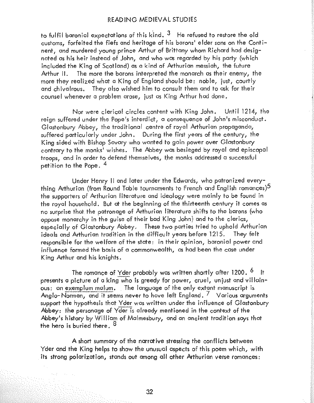to fulfil baronial expectations of this kind.  $3$  He refused to restore the old customs, forfeited the fiefs and heritage of his barons' elder sons on the Continent, and murdered young prince Arthur of Brittany whom Richard had designated as his heir instead of John, and who was regarded by his party (which included the King of Scotland) as a kind of Arthurian messiah, the future Arthur II. The more the barons interpreted the monarch as their enemy, the more they realized what a King of England should be: noble, just, courtly and chivalrous. They also wished him to consult them and to ask for their counsel whenever a problem arose, just as King Arthur had done.

Nor were clerical circles content with King John. Until 1214, the reign suffered under the Pope's interdict, a consequence of John's misconduct. Glastonbury Abbey, the traditional centre of royal Arthurian propaganda, suffered particularly under John. During the first years of the century, the King sided with Bishop Savary who wanted to gain power over Glastonbury contrary to the monks<sup>1</sup> wishes. The Abbey was besieged by royal and episcopal troops, and in order to defend themselves, the monks addressed a successful petition to the Pope. <sup>4</sup>

Under Henry II and later under the Edwards, who patronized everything Arthurion (from Round Table tournaments to French and English romances) $^5$ the supporters of Arthurian literature and ideology were mainly to be found in the royal household. But at the beginning of the thirteenth century it comes as no surprise that the patronage of Arthurion literature shifts to the barons (who oppose monarchy in the quise of their bad King John) and to the clerics, especially of Glastonbury Abbey, These two parties tried to uphold Arthurian ideals and Arthurian tradition in the difficult years before 1215. They felt responsible for the welfare of the state: in their opinion, baronial power and influence formed the basis of a commonwealth, as had been the case under King Arthur and his knights.

The romance of Yder probably was written shortly after 1200.  $^6$  It presents a picture of a king who is greedy for power, cruel, unjust and villainous: an exemplum malum. The language of the only extant manuscript is Anglo-Norman, and it seems never to have left England.  $\frac{7}{7}$  Various arguments support the hypothesis that Yder was written under the influence of Glastonbury Abbey: the personage of Yder is already mentioned in the context of the Abbey's history by William of Malmesbury, and an ancient tradition says that the hero is buried there. <sup>8</sup>

A short summary of the narrative stressing the conflicts between Yder and the King helps to show the unusual aspects of this poem which, with its strong polarization, stands out among all other Arthurian verse romances:

32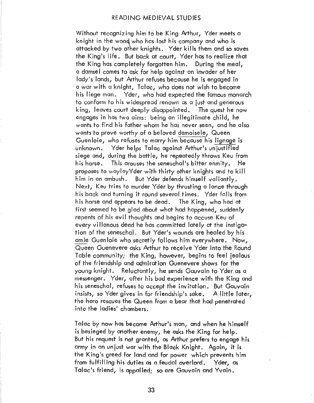Without recognizing him to be King Arthur, Yder meets a knight in the wood who has lost his company and who is attacked by two other knights. Yder kills them and so saves the King!s life. But bock at court, Yder has to realize that the King has completely forgotten him. During the meal, a damsel comes to ask for help against an invader of her lady's lands, but Arthur refuses because he is engaged in a war with a knight, Talac, who does not wish to become his liege man. Yder, who had expected the famous monarch to conform to his widespread renown as a just and generous king, leaves court deeply disappointed. The quest he now engages in has two aims: being an illegitimate child, he wants to find his father whom he has never seen, and he also wants to prove worthy of a beloved demoisele, Queen<br>Guenloie, who refuses to marry him because his lignage is unknown. Yder helps Talac against Arthur's unjustified siege and, during the battle, he repeatedly throws Keu from his horse. This arouses the seneschal's bitter enmity. He proposes to woylayYder with thirty other knights and to kill him in an ambush. But Yder defends himself valiantly. Next, Keu tries to murder Yder by thrusting a lance through his back and turning it round several times. Yder falls from his horse and appears to be dead. The King, who had at first seemed to be glad about what had happened, suddenly repents of his evil thoughts and begins to accuse Keu of every villanous deed he has committed lately at the instigation of the seneschal. But Yder!s wounds are healed by his amie Guenloie who secretly follows him everywhere. Now, Queen Guenevere asks Arthur to receive Yder into the Round Table community; the King, however, begins to fee! iealous of the friendship and admiration Guenevere shows for the young knight. Reluctantly, he sends Gauvain to Yder as a messenger. Yder, after his bad experience with the King and his seneschal, refuses to accept the invitation. But Gauvain insists, so Yder gives in for friendship's sake. A little later, the hero rescues the Queen from a bear that had penetrated into the ladies' chambers.

Tclae by now has become Arthur's man, and when he himself is besieged by another *enemy,* he asks the King for help. But his request is not granted, as Arthur prefers to engage his army in an uniust war with the Black Knight. Again, it is the King's greed for land and for power which prevents him from fulfilling his duties as a feudal overlord. Yder, as Talac's friend, is appalled; so are Gauvain and Yvain.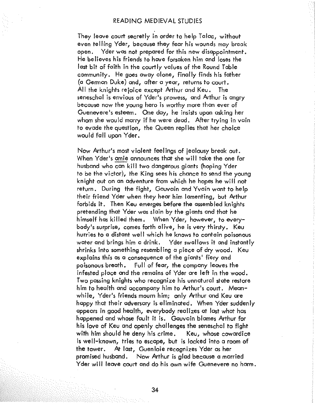They leave court secretly in order to help Talae, without even telling Yder, because they fear his wounds may break open. Yder was not prepared for this new disappointment. He believes his friends to have forsaken him and loses the last bit of faith in the courtly values of the Round Table community. He goes away alone, finally finds his father (0 German Duke) and, after a year, returns to court. All the knights rejoice excepl Arthur and Keu. The seneschal is envious of Yder's prowess, and Arthur is angry because now the young hero is worthy more than ever of Guenevere's esteem. One day, he insists upon asking her whom she would marry if he were dead. After trying in vain to eyade the question, the Queen replies that her choice would fall upon Yder.

Now Arthur's most violent feelings of jealousy break out. When Yder's amie announces that she will take the one for husband who can kill two dangerous giants (hoping Yder to be the victor), the King sees his chance to send the young knight out on an adventure from which he hopes he will not return. During the fight, Gauvain and Yvain want to help their friend Yder when they hear him lamenting, but Arthur forbids it. Then Keu emerges before the assembled knights pretending that Yder was slain by the giants and that he himself has killed them. When Yder, however, to everybody's surprise, comes forth olive, he is very thirsty ~ Keu hurries to a distant weil which he knows to contain poisonous water and brings him a drink. Yder swallows it and instantly shrinks into something resembling a piece of dry wood. Keu explains this as a consequence of the giants' fiery and poisonous breath. Full of fear, the company leaves the infested place and the remains of Yder are left in the wood. Two passing knights who recognize his unnatural state restore him to health and accompany him to Arthur's court. Meanwhile, Yder's friends mourn him; only Arthur and Keu are happy that their adversary is eliminated. When Yder suddenly appears in good health, everybody realizes at last what has happened and whose fault it is. Gauvain blames Arthur for his love of Keu and openly challenges the seneschal to fight with him should he deny his crime. Keu, whose cowardice is well-known, tries to escape, but is locked into a room of the tower. At last, Guenloie recognizes Yder as her promised husband. Now Arthur is glad because a married Yder will leave court and do his own wife Guenevere no harm.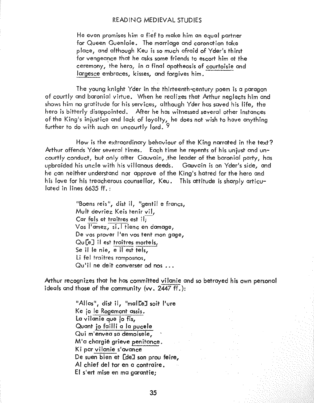He even promises him a fief to make him an equal partner for Queen Guenloie. The marriage and coronation take place, and although Keu is so much afraid of Yder!s thirst for vengeance that he asks some friends to escort him at the ceremony, the hero, in a final apotheosis of courtoisie and largesce embraces, kisses, and forgives him.

The young knight Yder in the thirteenth-century poem is a paragon of courtly and baronial virtue. When he realizes that Arthur neglects him and shows him no gratitude for his services, although Yder has saved his life, the hero is bitterly disappointed. After he has witnessed several other instances of the King's injustice and lack of loyalty, he does not wish to have anything further to do with such an uncourtly lord.<sup>9</sup>

How is the extraordinary behaviour of the King narrated in the text? Arthur offends Yder several times. Each time he repents of his unjust and uncourtly conduct, but only after Gauvain, the leader of the baronial party, has upbraided his uncle with his villanous deeds. Gauvoin is on Yderts side, and he can neither understond nor approve of the King's hatred for the hero and his love for his treacherous counsellor, Keu. This attitude is sharply articulated in lines 6635 ff. :

> "Boens reis", dist il, "gentil e francs, Mult devriez Keis tenir vII, Car fels et traitres est il; Vos l'amez, si.1 tienc en damage, De vos prover l'en vos tent mon gage, De vos prover rett vos rent mortgag<br>Qu[e] II est traitres mortels,<br>Se II le nie, e II est tels, Li fel troitres ramposnos, Qu'il ne deit converser od nos ...

Arthur recognizes that he has committed vilonie and so betrayed his own personal ideals and those af the community (w. 2447 ff.):

> "Allas", dist il, "malLeJ soit l'ure Ke jo Ie Rogemont assis. La vilanie que jo fis, Quant ja faill; a 10 pucele Qui mlenvea so demoisele, M'a chargié grieve penitance. Ki par vilanie s'avance De suen bien at [deJ son prou feire, AI chief del tor en a contraire. EI s'ert mise en ma *gorantiei*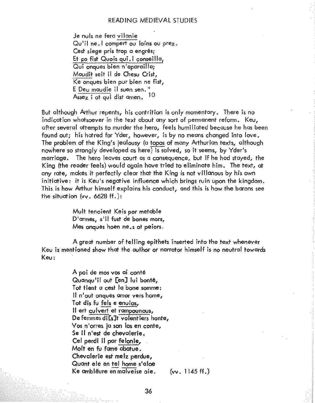Je nuls ne fera vilanie Qu'il ne. I compert ou loins ou prez. Cest siege pris trop a engrés; Et co fist Quois qui, I conseilla, Qui onques bien n'aparailla; Maudit seit il de Chesu Crist, Ke onaues bien pur bien ne fist, E Deu maudie il suen sen." Assez i of qui dist amen.  $10$ 

But although Arthur repents, his contrition is only momentary. There is no indication whatsoever in the text about any sort of permanent reform. Keu, after several attempts to murder the hero, feels humiliated because he has been found out; his harred for Yder, however, is by no means changed into love, The problem of the King's jealousy (a topos of many Arthurian texts, although nowhere so strongly developed as here) is solved, so it seems, by Yder's marriage. The hero leaves court as a consequence, but if he had stayed, the King (the reader feels) would again have tried to eliminate him. The text, at any rate, makes it perfectly clear that the King is not villanous by his own initiative: it is Keu's negative influence which brings ruin upon the kingdom. This is how Arthur himself explains his conduct, and this is how the barons see the situation (vv. 6628 ff.):

> Mult tenoient Keis por metable D'armes, s'il fust de bones mors, Mes onques hoen ne, s ot peiors.

A great number of telling epithets inserted into the text whenever Key is mentioned show that the author or narrator himself is no neutral towards Keu:

> A poi de mos vos ai conté Quangu'il out [en] lui bonté, Tot tient a cest la bone somme: Il n'out onques amor vers home, Tot dis fu fels e enuios. Il ert culvert et rampounous, De femmes di [s]t volentiers honte, Vos n'orres ja son los en conte, Se il n'est de chevalerie, Cel perdi il par felonie, Molt en fu fame abatue. Chevalerie est melz perdue, Quant ele en tel home s'aloe Ke amblëure en malveise oie.

 $(vv. 1145 ff.)$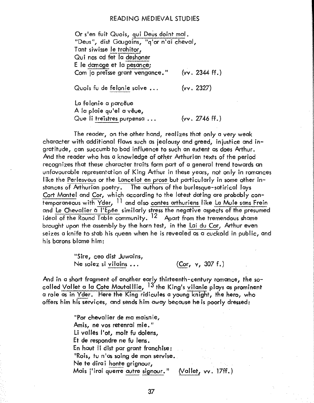Or s'en fuit Quois, qui Deus doint mal, "Deus", dist Gaugains, "g'or n'ai cheval, Tant siwisse le trahitor, Qui nos ad fet la deshoner E le damage et la pesance: Com io preisse grant vengance."  $(vv. 2344 ff.)$ Quois fu de felonie saive ...  $(vv. 2327)$ 

La felonie a parceue A la plaie qu'el a vêue,

Que li treistres purpensa...

The reader, on the other hand, realizes that only a yery weak character with additional flaws such as jealousy and greed, injustice and ingratitude, can succumb to bad influence to such an extent as does Arthur. And the reader who has a knowledge of other Arthurian texts of the period recognizes that these character traits form part of a general trend towards an unfavourable representation of King Arthur in these years, not only in romances like the Perlesyous or the Lancelot en prose but particularly in some other instances of Arthurian poetry. The authors of the burlesque-satirical lays Cort Mantel and Cor, which according to the latest dating are probably contemporaneous with Yder, 11 and also contes arthuriens like La Mule sans Frein and Le Chevalier a l'Epée similarly stress the negative aspects of the presumed ideal of the Round Table community. <sup>12</sup> Apart from the tremendous shame brought upon the assembly by the horn test, in the Lai du Cor, Arthur even seizes a knife to stab his queen when he is revealed as a cuckold in public, and his barons blame him:

 $(vv, 2746$  ff.)

"Sire, ceo dist Juwains, (Cor, v, 307 f.) Ne soiez si vilains...

And in a short fragment of another early thirteenth-century romance, the socalled Vallet a la Cote Mautaillie, 13 the King's vilanie plays as prominent a role as in Yder. Here the King ridicules a young knight, the hero, who offers him his services, and sends him away because he is poorly dressed:

> "Por chevalier de ma maisnie, Amis, ne vos retenrai mie." Li valles l'ot, molt fu dolens, Et de respondre ne fu lens. En haut II dist par grant franchise: "Rois, tu n'as soing de mon servise. Ne te dirai honte grignour, (Vallet, vv. 17ff.) Mais j'irai querre autre signour."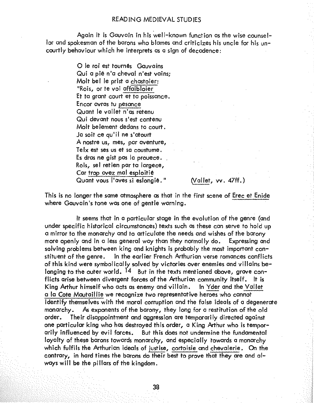Again it is Gauvain in his well-known function as the wise counsellor and spokesman of the barons who blames and criticizes his uncle for his uncourtly behaviour which he interprets as a sign of decadence:

> O le roi est tournés Gauvains Qui a pie n'a cheval n'est vains: Molt bel le prist a chastoier: "Rois, or te voi affaibloier Et ta grant court et ta poissance. Encor avras tu pesance Quant le vallet n'as retenu Qui devant nous s'est contenu Molt belement dedans to court. Ja soit ce au'il ne s'atourt A nostre us, mes, par aventure, Telx est ses us et sa coustume. Es dras ne gist pas la provece. Rois, sel retien par ta largece, Car trop avez mal esploitie Quant yous l'aves si eslongié."

(Vallet, vv. 47ff.)

This is no longer the same atmosphere as that in the first scene of Erec et Enide where Gauvain's tone was one of gentle warning.

It seems that in a particular stage in the evolution of the genre (and under specific historical circumstances) texts such as these can serve to hold up a mirror to the monarchy and to articulate the needs and wishes of the barony more openly and in a less general way than they normally do. Expressing and solving problems between king and knights is probably the most important constituent of the genre. In the earlier French Arthurian verse romances conflicts of this kind were symbolically solved by victories over enemies and villains belonging to the outer world. <sup>14</sup> But in the texts mentioned above, grave conflicts arise between divergent forces of the Arthurian community itself. It is King Arthur himself who acts as enemy and villain. In Yder and the Vallet a la Cote Mautaillie we recognize two representative heroes who cannot identify themselves with the moral corruption and the false ideals of a degenerate As exponents of the barony, they long for a restitution of the old monarchy. Their disappointment and aggression are temporarily directed against order. one particular king who has destroyed this order, a King Arthur who is temporarily influenced by evil forces. But this does not undermine the fundamental loyalty of these barons towards monarchy, and especially towards a monarchy which fulfils the Arthurian ideals of justise, cortoisie and chevalerie. On the contrary, in hard times the barons do their best to prove that they are and always will be the pillars of the kingdom.

38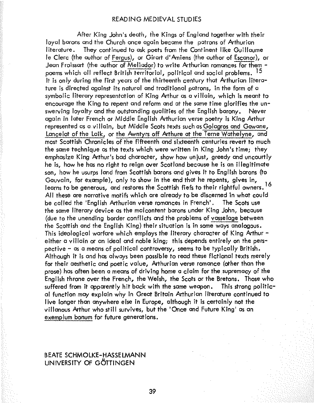After King John's death, ihe Kings of England together with their loyal barons and the Church once again became the patrons of Arthurion literature. They continued to ask poets from the Continent like Guillaume Ie Clerc (the author of Fergus), or Girart d'Amiens (the author of Escanor), or Jean Froissart (the author of Meliador) to write Arthurian romances for them poems which all reflect British territorial, political and social problems. <sup>15</sup> It is only during the first years of the thirteenth century that Arthurion literature is directed against its natural and traditional patrons, in the form of a symbolic literary representation of King Arthur as a villain, which is meant to encourage the King to repent and reform and at the same time glorifies the unswerving loyalty and the outstanding qualities of the English barony. Never again in later French or Middle English Arthurian verse poetry is King Arthur represented as a\_villain, but Middle Scots texts such as Golagros and Gowane, Lancelot of the Laik, or the Awntyrs off Arthure at the Terne Wathelyne, and most Scottish Chronicles of the fifteenth and sixteenth centuries revert to much the same technique as the texts which were written in King John's time; they emphasize King Arthur's bad character, show how unjust, greedy and uncourtly he is, how he has no right to reign over Scotland because he is an illegitimate son, how he usurps land from Scottish barons and gives it to English barons (to Gauvain, for example), only to show in the end that he repents, gives in, learns to be generous, and restores the Scottish fiefs to their rightful owners. All these are narrative motifs which are already to be discerned in what could be called the 'English Arthurian verse romances in French'. The Scots use the same literary device as the malcontent barons under King John, because (due to the unending border conflicts and the problems of vasselage between the Scottish and the English King) their situation is in some ways analogous. This ideological warfare which employs the literary character of King Arthur either a villain or an ideal and noble king; this depends entirely on the perspective - as a means of political controversy, seems to be typically British. Although it is and has always been possible to read these fictional texts merely for their aesthetic and poetic value, Arthurian verse romance (other than the prose) has often been a means of driving home a claim for the supremacy of the English throne over the French, the Welsh, the Scots or the Bretons. Those who suffered from it apparently hit back with the same weapon. This strong political function may explain why in Great Britain Arthurian literature continued to live longer than anywhere else in Europe, although it is certainly not the viHanous Arthur who still survives, but the 'Once and Future King' as an exemplum bonum for future generations.

#### BEATE SCHMOlKE-HASSELMANN UNIVERSITY OF G6TTINGEN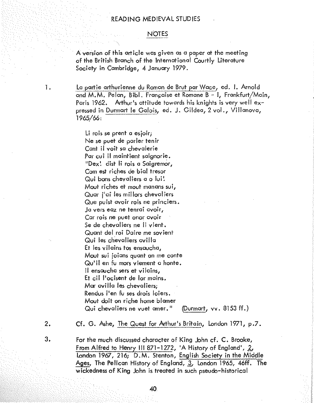#### NOTES

A version of this article was given as a paper at the meeting of the British Branch of the International Courtly Literature Society in Cambridge, 4 January 1979.

1. La partie arthurienne du Roman de Brut par Wace, ed. I. Arnold and M.M. Pelan, Bibl. Française et Romane B - 1, Frankfurt/Main, Paris 1962. Arthur's attitude towards his knights is very well expressed in Durmart le Galois, ed. J. Gildea, 2 vol., Villanova, 1965/66:

> Li rois se prent a esjoir; Ne sa puet de parler tenir Cant il veit so chevoierie Par cui iI maintient saignorie. "Dex! dist Ii rois a Saigremor, Com est riches de bioi fresor Qui bons chevaliers a o lui! Mout riches at mout manans sui,. Quar i'ai les millors chevaliers Que puist avoir rois ne princiers. Ja vers eaz ne tenrai avoir, Car rois ne puet onor avoir Se de chevaliers ne Ii vient. Quant del roi Daire me sovient Qui las chevaliers avilla Et les vilains tos ensaucha, Mout sui joians quant on me conte Qu'il en fu mars viement a honte. II ensoucha sers et vilains, Et cil l'ocisent de lor mains. Mar avilla les chevaliers: Rendus l'en fu ses drois loiers. Mout doit on riche home blamer Qui chevaliers ne vuet amer." (Durmart, vv.  $8153$  ff.)

2. Cf. G. Ashe, The Quesl for Arthur's Brilain, london 1971, p.7.

3. For the much discussed character of King John cf. C. Brooke, From Alfred to Henry III 871-1272, 'A History of England',  $2$ , london 1967, 216; D.M. Stenion, English Society in Ihe Middle Ages, The Pelican History of England, 3, London 1965, 46ff. The wickedness of King John is treated in such pseudo-historical

40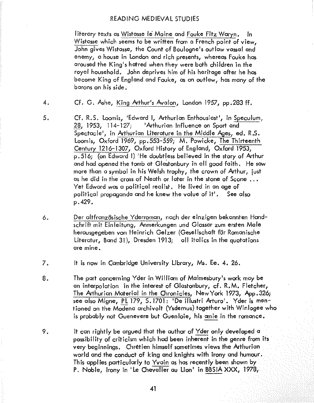literary texts as Wistasse Ie Moine and Fouke Fitz Waryn. In Wistasse which seems to be written from a French point of view, John gives Wistasse, the Count of Boulogne's outlaw vassal and enemy, a house in london and rich presents, whereas Fouke has aroused the King's hatred when they were both children in the royal household~ John deprives him of his heritage after he has become King of England and Fouke, as an outlaw, has many of the barons on his side.

- 4. Cf. G. Ashe, King Arthur's Avalon, London 1957, pp.283 ff.
- 5. Cf. R.S. Loomis, 'Edward I, Arthurian Enthousiast', in Speculum, 28, 1953, 114-127; 'Arthurian Influence on Sport and Spectacle', in Arthurian Literature in the Middle Ages, ed. R.S. loomis, Oxford 1969, pp.553-559; M. Powicke, The Thirteenth Century 1216-1307, Oxford History of England, Oxford 1953, p.516; (on Edward I) 'He doubtless believed in the story of Arthur and had opened the tomb at Glastonbury in all good faith. He saw more than a symbol in his Welsh trophy, the crown of Arthur, just as he did in the cross of Neath or later in the stone of Scone  $\ldots$ Yet Edward was a political realist. He lived in an age of political propaganda and he knew the value of it'. See also p.429.
- 6. Der altfranz8sische Yderroman, nach der einzigen bekannten Hondschrift mit Einleitung, Anmerkungen und Glossar zum ersten Male herousgegeben von Heinrich Gelzer (Geselfschaft fllr Romanische Literatur, Band 31), Dresden 1913; all italics in the quotations are mine.
- 7. It is now in Cambridge University library, Ms. Ee. 4. 26.
- 8. The part concerning Yder in Williom of Malmesbury's work may be an interpolation in the interest of Glastonbury, cf. R.M. Fletcher, The Arthurian Material in the Chronicles, New York 1973, App.326; see also Migne, Pl 179, 5.1701: 'De illustri Arturo'. Yder is mentioned on the Modena archivolt (Ysdernus) together with Winlogee who is probably not Guenevere but Guenloie, his amie in the romance.
- 9. It can rightly be argued that the author of Yder only developed a possibility of criticism which had been inherent in the genre from its very beginnings. Chretien himself sometimes views the Arthurian world and the conduct of king and knights with irony and humour. This applies particularly **to** Yvain as has recently been shown by P. Noble, Irony in 'Le Chevalier au Lion' in BBSIA XXX, 1978,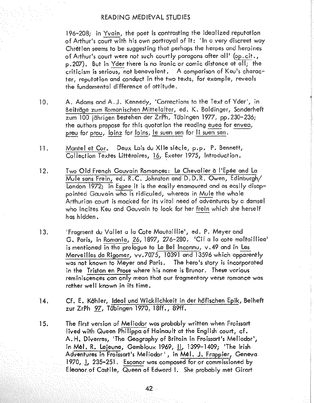196–208: in Yvain, the poet is contrasting the idealized reputation of Arthur's court with his own portrayal of it: 'In a very discreet way Chretien seems to be suggesting that perhaps the heroes and heroines of Arthur's court were not such courtly paragons after all' (op. cit., p. 207). But in Yder there is no ironic or comic distance at all: the criticism is serious, not benevolent, A comparison of Keu's character, reputation and conduct in the two texts, for example, reveals the fundamental difference of attitude.

- $10.$ A. Adams and A.J. Kennedy, 'Corrections to the Text of Yder', in Beiträge zum Romanischen Mittelalter, ed. K. Baldinger, Sonderheft zum 100 idhrigen Bestehen der ZrPh. Tübingen 1977, pp. 230-236; the authors propose for this auotation the reading eued for envea, preu for prou, loinz for loins, le suen sen for li suen sen.
- Mantel et Cor. Deux Lais du XIIe siècle, p.p. P. Bennett, 11. Collection Textes Littéraires, 16, Exeter 1975, Introduction.
- 12. Two Old French Gauvain Romances: Le Chevalier à l'Epée and La Mule sans Frein, ed. R.C. Johnston and D.D.R. Owen, Edinburgh/ London 1972: In Espee it is the easily enamoured and as easily disappointed Gauvain who is ridiculed, whereas in Mule the whole Arthurian court is mocked for its vital need of adventures by a damsel who incites Key and Gauvain to look for her frein which she herself has hidden.
- 'Fragment du Vallet a la Cote Mautaillie', ed. P. Meyer and  $13.$ G. Paris, in Romania, 26, 1897, 276-280. 'Cil a la cote maltailliee' is mentioned in the prologue to Le Bel Inconnu, v.49 and in Les Merveilles de Rigomer, vv.7075, 10391 and 13596 which apparently was not known to Meyer and Paris. The hero's story is incorporated in the Tristan en Prose where his name is Brunor. These various reminiscences can only mean that our fragmentary verse romance was rather well known in its time.
- Cf. E. Köhler, Ideal und Wicklichkeit in der höfischen Epik, Beiheft  $|4.$ zur ZrPh 97, Tübingen 1970, 18ff., 89ff.
- 15. The first version of Meliador was probably written when Froissart lived with Queen Philippa of Hainault at the English court, cf. A.H. Diverres, 'The Geography of Britain in Froissart's Meliador', in Mel. R. Lejeune, Gembloux 1969, 11, 1399-1409; 'The Irish Adventures in Froissart's Meliador', in Mel. J. Frappier, Geneva 1970, 1, 235-251. Escanor was composed for or commissioned by Eleanor of Castile, Queen of Edward I. She probably met Girart